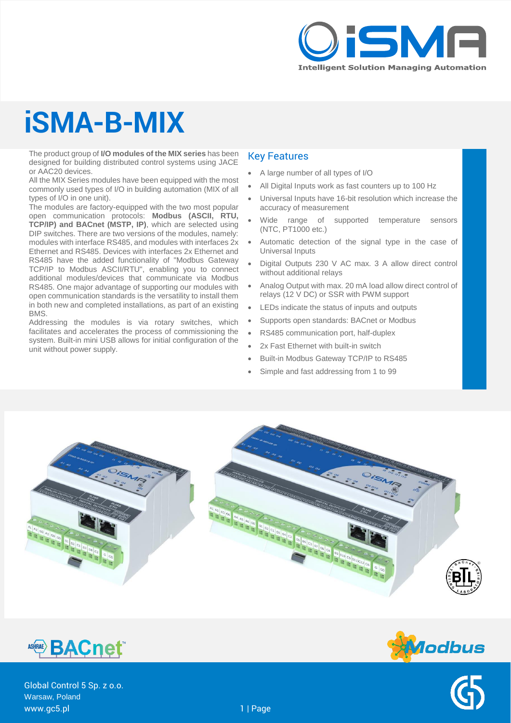

# **iSMA-B-MIX**

The product group of **I/O modules of the MIX series** has been designed for building distributed control systems using JACE or AAC20 devices.

All the MIX Series modules have been equipped with the most commonly used types of I/O in building automation (MIX of all types of I/O in one unit).

The modules are factory-equipped with the two most popular open communication protocols: **Modbus (ASCII, RTU, TCP/IP) and BACnet (MSTP, IP)**, which are selected using DIP switches. There are two versions of the modules, namely: modules with interface RS485, and modules with interfaces 2x Ethernet and RS485. Devices with interfaces 2x Ethernet and RS485 have the added functionality of "Modbus Gateway TCP/IP to Modbus ASCII/RTU", enabling you to connect additional modules/devices that communicate via Modbus RS485. One major advantage of supporting our modules with open communication standards is the versatility to install them in both new and completed installations, as part of an existing BMS.

Addressing the modules is via rotary switches, which facilitates and accelerates the process of commissioning the system. Built-in mini USB allows for initial configuration of the unit without power supply.

### Key Features

- A large number of all types of I/O
- All Digital Inputs work as fast counters up to 100 Hz
- Universal Inputs have 16-bit resolution which increase the accuracy of measurement
- Wide range of supported temperature sensors (NTC, PT1000 etc.)
- Automatic detection of the signal type in the case of Universal Inputs
- Digital Outputs 230 V AC max. 3 A allow direct control without additional relays
- Analog Output with max. 20 mA load allow direct control of relays (12 V DC) or SSR with PWM support
- LEDs indicate the status of inputs and outputs
- Supports open standards: BACnet or Modbus
- RS485 communication port, half-duplex
- 2x Fast Ethernet with built-in switch
- Built-in Modbus Gateway TCP/IP to RS485
- Simple and fast addressing from 1 to 99





Global Control 5 Sp. z o.o. Warsaw, Poland www.gc5.pl 1 | Page